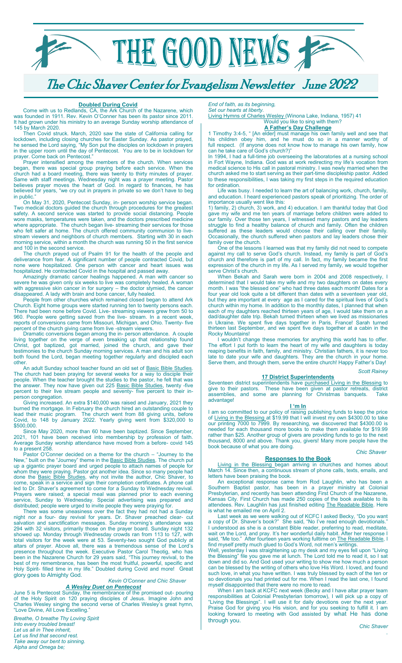

The Chic Shaver Center for Evangelism Newsletter June 2022

### **Doubled During Covid**

Come with us to Redlands, CA, the Ark Church of the Nazarene, which was founded in 1911. Rev. Kevin O'Conner has been its pastor since 2011. It had grown under his ministry to an average Sunday worship attendance of 145 by March 2020.

Then Covid struck. March, 2020 saw the state of California calling for lockdown, including closing churches for Easter Sunday. As pastor prayed, he sensed the Lord saying, "My Son put the disciples on lockdown in prayers in the upper room until the day of Pentecost. You are to be in lockdown for prayer. Come back on Pentecost."

Prayer intensified among the members of the church. When services began, there was special group praying before each service. When the church had a board meeting, there was twenty to thirty minutes of prayer. Same with staff meetings. Wednesday night was a prayer meeting. Pastor believes prayer moves the heart of God. In regard to finances, he has believed for years, "we cry out in prayers in private so we don't have to beg in public.

On May 31, 2020, Pentecost Sunday, in- person worship service began. Two medical doctors guided the church through procedures for the greatest safety. A second service was started to provide social distancing. People wore masks, temperatures were taken, and the doctors prescribed medicine where appropriate. The church began live- streaming their services for those who felt safer at home. The church offered community communion to livestream viewers and neighbors of church members. Starting with 30 in each morning service, within a month the church was running 50 in the first service and 100 in the second service.

The church prayed out of Psalm 91 for the health of the people and deliverance from fear. A significant number of people contracted Covid, but none were hospitalized. One person with cancer and heart issues was hospitalized. He contracted Covid in the hospital and passed away.

Amazingly dramatic cancer healings happened. A man with cancer so severe he was given only six weeks to live was completely healed. A woman with aggressive skin cancer in for surgery – the doctor stymied, the cancer disappeared. A lady with brain and bone cancer, fully healed.

People from other churches which remained closed began to attend Ark Church. Eight home groups were started running ten to twenty persons each. There had been none before Covid. Live- streaming viewers grew from 50 to 960. People were getting saved from the live- stream. In a recent week, reports of conversions came from Missouri, Michigan, and Ohio. Twenty- five percent of the church giving came from live -stream viewers.

Dramatic conversions began among the in- person attendance. A couple living together on the verge of even breaking up that relationship found Christ, got baptized, got married, joined the church, and gave their testimonies to the church Sunday morning services. A man and his adult son both found the Lord, began meeting together regularly and discipled each other.

An adult Sunday school teacher found an old set of **Basic Bible Studies**. The church had been praying for several weeks for a way to disciple their people. When the teacher brought the studies to the pastor, he felt that was the answer. They now have given out 225 Basic Bible Studies, twenty -five percent to their live stream people and seventy- five percent to their inperson congregation.

Giving increased. An extra \$140,000 was raised and January, 2021 they burned the mortgage. In February the church hired an outstanding couple to lead their music program. The church went from 88 giving units, before Covid, to 148 by January 2022. Yearly giving went from \$320,000 to \$500,000.

Since May 2020, more than 60 have been baptized. Since September, 2021, 101 have been received into membership by profession of faith. Average Sunday worship attendance have moved from a before- covid 145 to a present 258.

Pastor O'Conner decided on a theme for the church – "Journey to the New," built on the "Journey" theme in the **Basic Bible Studies. The church put** up a gigantic prayer board and urged people to attach names of people for whom they were praying. Pastor got another idea. Since so many people had done the **Basic Bible Studies**, why not invite the author, Chic Shaver, to come, speak in a service and sign their completion certificates. A phone call led to Dr. Shaver's agreement to come for a Sunday to Wednesday revival. Prayers were raised; a special meal was planned prior to each evening service, Sunday to Wednesday. Special advertising was prepared and distributed; people were urged to invite people they were praying for.

There was some uneasiness over the fact they had not had a Sunday night nor a four- day revival for years. Dr. Shaver preached clear- cut salvation and sanctification messages. Sunday morning's attendance was 294 with 32 visitors, primarily those on the prayer board. Sunday night 132 showed up. Monday through Wednesday crowds ran from 113 to 127, with total visitors for the week were at 53. Seventy-two sought God publicly at altars of prayer. Above all, there was a tremendous sense of the Lord's presence throughout the week. Executive Pastor Carol Theotig, who has been in the Nazarene Church for 29 years said, "This journey revival, to the best of my remembrance, has been the most fruitful, powerful, specific and Holy Spirit- filled time in my life." Doubled during Covid and more! Great glory goes to Almighty God.

## *Kevin O'Conner and Chic Shaver A Wesley Duet on Pentecost*

June 5 is Pentecost Sunday, the remembrance of the promised out- pouring of the Holy Spirit on 120 praying disciples of Jesus. Imagine John and Charles Wesley singing the second verse of Charles Wesley's great hymn, "Love Divine, All Love Excelling."

*Breathe, O breathe Thy Loving Spirit Into every troubled breast! Let us all in Thee inherit, Let us find that second rest. Take away our bent to sinning. Alpha and Omega be;*

*End of faith, as its beginning, Set our hearts at liberty.*

Living Hymns of Charles Wesley (Winona Lake, Indiana, 1957) 41 Would you like to sing with them?

## **A Father's Day Challenge**

1 Timothy 3:4-5, " [An elder] must manage his own family well and see that his children obey him, and he must do so in a manner worthy of full respect. (If anyone does not know how to manage his own family, how can he take care of God's church?)"

In 1994, I had a full-time job overseeing the laboratories at a nursing school in Fort Wayne, Indiana. God was at work redirecting my life's vocation from medical science to His call in pastoral ministry. I was newly married when the church asked me to start serving as their part-time discipleship pastor. Added to these responsibilities, I was taking my first steps in the required education for ordination.

Life was busy. I needed to learn the art of balancing work, church, family, and education. I heard experienced pastors speak of prioritizing. The order of importance usually went like this:

1) family, 2) church, 3) work, and 4) education. I am thankful today that God gave my wife and me ten years of marriage before children were added to our family. Over those ten years, I witnessed many pastors and lay leaders struggle to find a healthy balance of church and family. Often the children suffered as these leaders would choose their calling over their family. Occasionally, the church suffered when pastors and lay leaders chose their family over the church.

One of the lessons I learned was that my family did not need to compete against my call to serve God's church. Instead, my family is part of God's church and therefore is part of my call. In fact, my family became the first expression of the church in my life. As I served my family, we would together serve Christ's church.

When Bekah and Sarah were born in 2004 and 2008 respectively, I determined that I would take my wife and my two daughters on dates every month. I was "the blessed one" who had three dates each month! Dates for a four year old look quite a bit different than dates with a seventeen year old, but they are important at every age as I cared for the spiritual lives of God's church within my home. In addition to the monthly dates, I planned that when each of my daughters reached thirteen years of age, I would take them on a dad/daughter date trip. Bekah turned thirteen when we lived as missionaries in Ukraine. We spent five days together in Paris, France! Sarah turned thirteen last September, and we spent five days together at a cabin in the Rocky Mountains!

I wouldn't change these memories for anything this world has to offer. The effort I put forth to learn the heart of my wife and daughters is today reaping benefits in faith, family, and ministry. Christian fathers, it is never too late to date your wife and daughters. They are the church in your home. Serve them, and through them, serve the entire church! Happy Father's Day!

#### *Scott Rainey*

## **17 District Superintendents**

Seventeen district superintendents have purchased Living in the Blessing to give to their pastors. These have been given at pastor retreats, district assemblies, and some are planning for Christmas banquets. Take advantage!

## **I 'm In**

I am so committed to our policy of raising publishing funds to keep the price of Living in the Blessing at \$19.99 that I will invest my own \$4300.00 to take our printing 7000 to 7999. By researching, we discovered that \$4300.00 is needed for each thousand more books to make them available for \$19.99 rather than \$25. Another group of givers are providing funds to go to the next thousand, 8000 and above. Thank you, givers! Many more people have the book because of what you are doing.

#### *Chic Shaver*

### **Responses to the Book**

Living in the Blessing began arriving in churches and homes about March 14. Since then, a continuous stream of phone calls, texts, emails, and letters have been praising the book.

An exceptional response came from Rod Laughlin, who has been a Southern Baptist pastor, has been in a prayer ministry at Colonial Presbyterian, and recently has been attending First Church of the Nazarene, Kansas City. First Church has made 250 copies of the book available to its attendees. Rev. Laughlin has just finished editing **The Readable Bible.** Here is what he emailed me on April 2.

Last week as we were walking out of KCFC I asked Becky, "Do you want a copy of Dr. Shaver's book?" She said, "No I've read enough devotionals." I understood as she is a constant Bible reader, preferring to read, meditate, wait on the Lord, and pray. It's her wonderful daily habit. After her response I said, "Me too." After fourteen years working fulltime on The Readable Bible, I find myself pretty much glued to God's Word, not men's writings.

Well, yesterday I was straightening up my desk and my eyes fell upon "Living the Blessing" file you gave me at lunch. The Lord told me to read it, so I sat down and did so. And God used your writing to show me how much a person can be blessed by the writing of others who love His Word. I loved, and found such love, in what you have written. I was truly blessed by each of the ten or so devotionals you had printed out for me. When I read the last one, I found myself disappointed that there were no more to read.

When I am back at KCFC next week (Becky and I have altar prayer team responsibilities at Colonial Presbyterian tomorrow), I will pick up a copy of "Living the Blessings". I will use it for daily devotions over the next year. Praise God for giving you His vision, and for you seeking to fulfill it. I am looking forward to meeting with God assisted by what He has done through you.

.